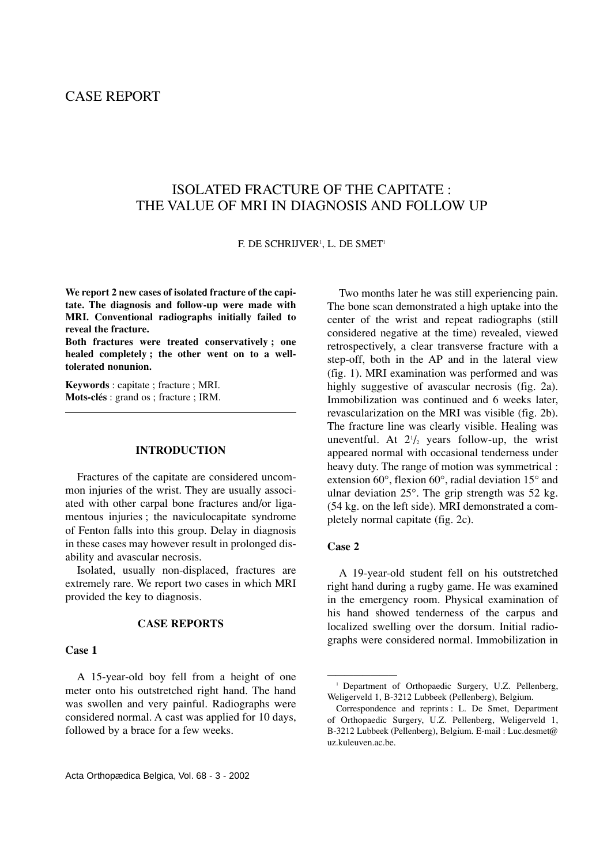# ISOLATED FRACTURE OF THE CAPITATE : THE VALUE OF MRI IN DIAGNOSIS AND FOLLOW UP

F. DE SCHRIJVER<sup>1</sup>, L. DE SMET<sup>1</sup>

**We report 2 new cases of isolated fracture of the capitate. The diagnosis and follow-up were made with MRI. Conventional radiographs initially failed to reveal the fracture.**

**Both fractures were treated conservatively ; one healed completely ; the other went on to a welltolerated nonunion.**

**Keywords** : capitate ; fracture ; MRI. **Mots-clés** : grand os ; fracture ; IRM.

## **INTRODUCTION**

Fractures of the capitate are considered uncommon injuries of the wrist. They are usually associated with other carpal bone fractures and/or ligamentous injuries ; the naviculocapitate syndrome of Fenton falls into this group. Delay in diagnosis in these cases may however result in prolonged disability and avascular necrosis.

Isolated, usually non-displaced, fractures are extremely rare. We report two cases in which MRI provided the key to diagnosis.

## **CASE REPORTS**

## **Case 1**

A 15-year-old boy fell from a height of one meter onto his outstretched right hand. The hand was swollen and very painful. Radiographs were considered normal. A cast was applied for 10 days, followed by a brace for a few weeks.

Two months later he was still experiencing pain. The bone scan demonstrated a high uptake into the center of the wrist and repeat radiographs (still considered negative at the time) revealed, viewed retrospectively, a clear transverse fracture with a step-off, both in the AP and in the lateral view (fig. 1). MRI examination was performed and was highly suggestive of avascular necrosis (fig. 2a). Immobilization was continued and 6 weeks later, revascularization on the MRI was visible (fig. 2b). The fracture line was clearly visible. Healing was uneventful. At  $2\frac{1}{2}$  years follow-up, the wrist appeared normal with occasional tenderness under heavy duty. The range of motion was symmetrical : extension 60°, flexion 60°, radial deviation 15° and ulnar deviation 25°. The grip strength was 52 kg. (54 kg. on the left side). MRI demonstrated a completely normal capitate (fig. 2c).

## **Case 2**

————————

A 19-year-old student fell on his outstretched right hand during a rugby game. He was examined in the emergency room. Physical examination of his hand showed tenderness of the carpus and localized swelling over the dorsum. Initial radiographs were considered normal. Immobilization in

<sup>&</sup>lt;sup>1</sup> Department of Orthopaedic Surgery, U.Z. Pellenberg, Weligerveld 1, B-3212 Lubbeek (Pellenberg), Belgium.

Correspondence and reprints : L. De Smet, Department of Orthopaedic Surgery, U.Z. Pellenberg, Weligerveld 1, B-3212 Lubbeek (Pellenberg), Belgium. E-mail : Luc.desmet@ uz.kuleuven.ac.be.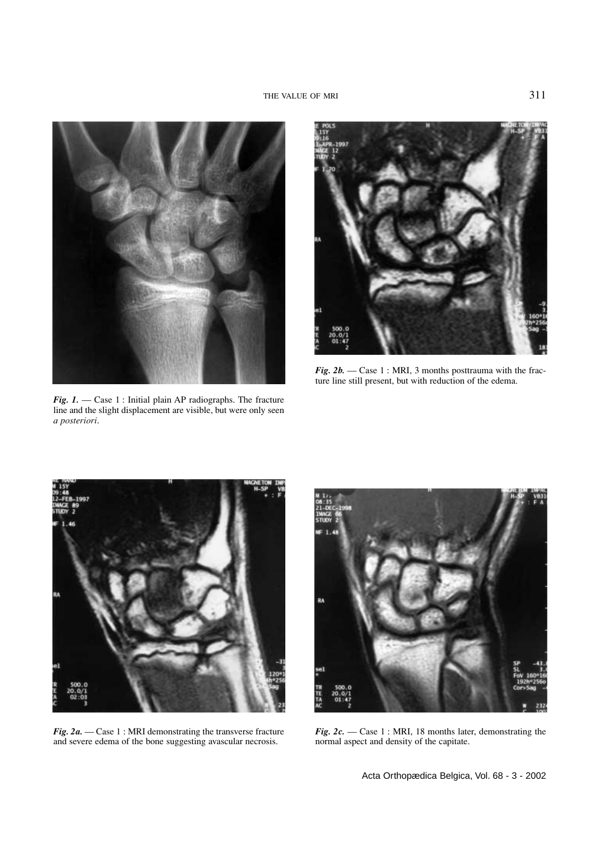

*Fig. 1.* — Case 1 : Initial plain AP radiographs. The fracture line and the slight displacement are visible, but were only seen *a posteriori*.



*Fig. 2b.* — Case 1 : MRI, 3 months posttrauma with the fracture line still present, but with reduction of the edema.



*Fig. 2a.* — Case 1 : MRI demonstrating the transverse fracture and severe edema of the bone suggesting avascular necrosis.



*Fig. 2c.* — Case 1 : MRI, 18 months later, demonstrating the normal aspect and density of the capitate.

Acta Orthopædica Belgica, Vol. 68 - 3 - 2002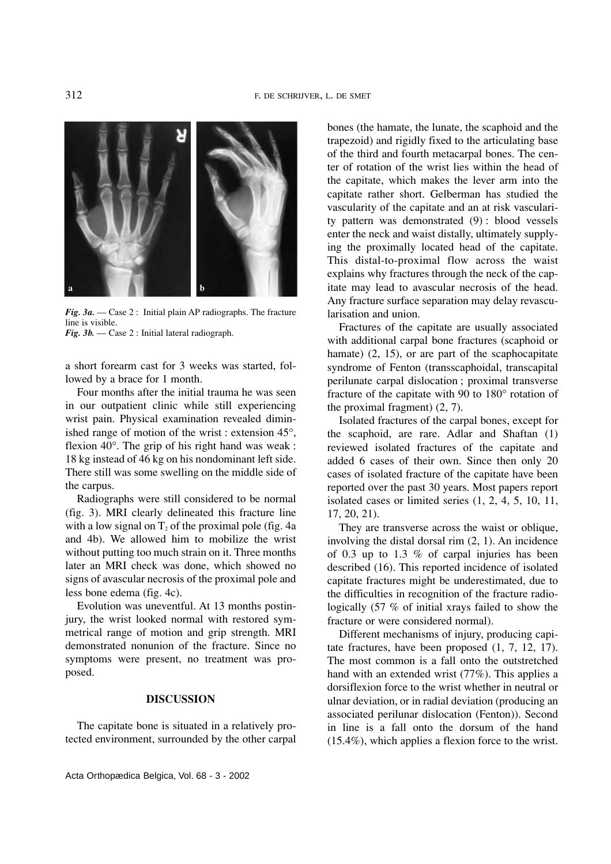

*Fig. 3a.* — Case 2 : Initial plain AP radiographs. The fracture line is visible.

*Fig. 3b.* — Case 2 : Initial lateral radiograph.

a short forearm cast for 3 weeks was started, followed by a brace for 1 month.

Four months after the initial trauma he was seen in our outpatient clinic while still experiencing wrist pain. Physical examination revealed diminished range of motion of the wrist : extension 45°, flexion 40°. The grip of his right hand was weak : 18 kg instead of 46 kg on his nondominant left side. There still was some swelling on the middle side of the carpus.

Radiographs were still considered to be normal (fig. 3). MRI clearly delineated this fracture line with a low signal on  $T_2$  of the proximal pole (fig. 4a and 4b). We allowed him to mobilize the wrist without putting too much strain on it. Three months later an MRI check was done, which showed no signs of avascular necrosis of the proximal pole and less bone edema (fig. 4c).

Evolution was uneventful. At 13 months postinjury, the wrist looked normal with restored symmetrical range of motion and grip strength. MRI demonstrated nonunion of the fracture. Since no symptoms were present, no treatment was proposed.

#### **DISCUSSION**

The capitate bone is situated in a relatively protected environment, surrounded by the other carpal

bones (the hamate, the lunate, the scaphoid and the trapezoid) and rigidly fixed to the articulating base of the third and fourth metacarpal bones. The center of rotation of the wrist lies within the head of the capitate, which makes the lever arm into the capitate rather short. Gelberman has studied the vascularity of the capitate and an at risk vascularity pattern was demonstrated (9) : blood vessels enter the neck and waist distally, ultimately supplying the proximally located head of the capitate. This distal-to-proximal flow across the waist explains why fractures through the neck of the capitate may lead to avascular necrosis of the head. Any fracture surface separation may delay revascularisation and union.

Fractures of the capitate are usually associated with additional carpal bone fractures (scaphoid or hamate) (2, 15), or are part of the scaphocapitate syndrome of Fenton (transscaphoidal, transcapital perilunate carpal dislocation ; proximal transverse fracture of the capitate with 90 to 180° rotation of the proximal fragment) (2, 7).

Isolated fractures of the carpal bones, except for the scaphoid, are rare. Adlar and Shaftan (1) reviewed isolated fractures of the capitate and added 6 cases of their own. Since then only 20 cases of isolated fracture of the capitate have been reported over the past 30 years. Most papers report isolated cases or limited series (1, 2, 4, 5, 10, 11, 17, 20, 21).

They are transverse across the waist or oblique, involving the distal dorsal rim (2, 1). An incidence of 0.3 up to 1.3 % of carpal injuries has been described (16). This reported incidence of isolated capitate fractures might be underestimated, due to the difficulties in recognition of the fracture radiologically (57 % of initial xrays failed to show the fracture or were considered normal).

Different mechanisms of injury, producing capitate fractures, have been proposed (1, 7, 12, 17). The most common is a fall onto the outstretched hand with an extended wrist (77%). This applies a dorsiflexion force to the wrist whether in neutral or ulnar deviation, or in radial deviation (producing an associated perilunar dislocation (Fenton)). Second in line is a fall onto the dorsum of the hand (15.4%), which applies a flexion force to the wrist.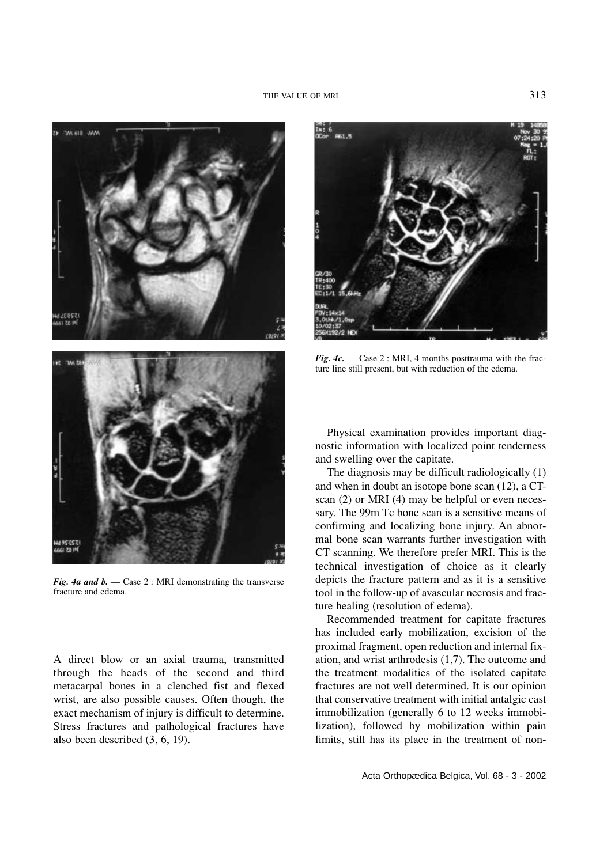

*Fig. 4a and b.* — Case 2 : MRI demonstrating the transverse fracture and edema.

A direct blow or an axial trauma, transmitted through the heads of the second and third metacarpal bones in a clenched fist and flexed wrist, are also possible causes. Often though, the exact mechanism of injury is difficult to determine. Stress fractures and pathological fractures have also been described (3, 6, 19).



*Fig. 4c.* — Case 2 : MRI, 4 months posttrauma with the fracture line still present, but with reduction of the edema.

Physical examination provides important diagnostic information with localized point tenderness and swelling over the capitate.

The diagnosis may be difficult radiologically (1) and when in doubt an isotope bone scan (12), a CTscan (2) or MRI (4) may be helpful or even necessary. The 99m Tc bone scan is a sensitive means of confirming and localizing bone injury. An abnormal bone scan warrants further investigation with CT scanning. We therefore prefer MRI. This is the technical investigation of choice as it clearly depicts the fracture pattern and as it is a sensitive tool in the follow-up of avascular necrosis and fracture healing (resolution of edema).

Recommended treatment for capitate fractures has included early mobilization, excision of the proximal fragment, open reduction and internal fixation, and wrist arthrodesis (1,7). The outcome and the treatment modalities of the isolated capitate fractures are not well determined. It is our opinion that conservative treatment with initial antalgic cast immobilization (generally 6 to 12 weeks immobilization), followed by mobilization within pain limits, still has its place in the treatment of non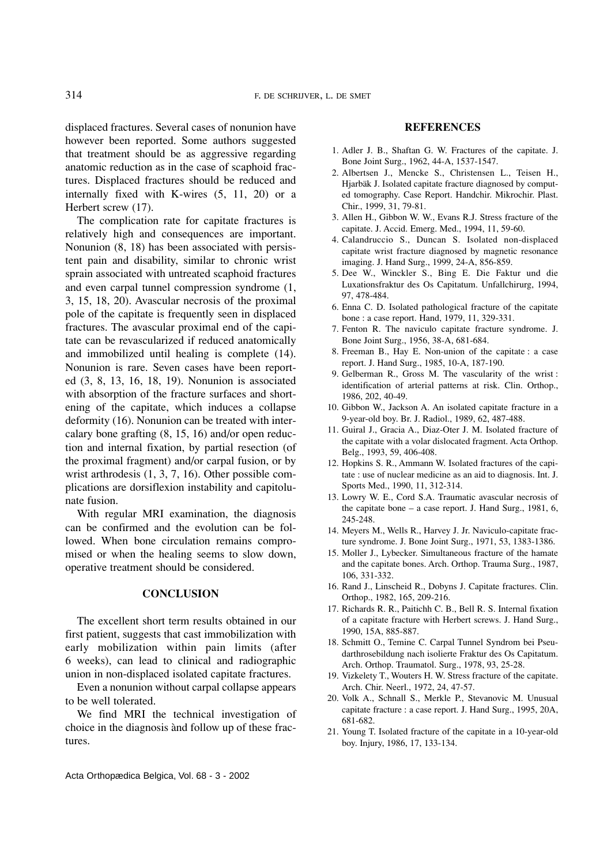314 F. DE SCHRIJVER, L. DE SMET

displaced fractures. Several cases of nonunion have however been reported. Some authors suggested that treatment should be as aggressive regarding anatomic reduction as in the case of scaphoid fractures. Displaced fractures should be reduced and internally fixed with K-wires (5, 11, 20) or a Herbert screw (17).

The complication rate for capitate fractures is relatively high and consequences are important. Nonunion (8, 18) has been associated with persistent pain and disability, similar to chronic wrist sprain associated with untreated scaphoid fractures and even carpal tunnel compression syndrome (1, 3, 15, 18, 20). Avascular necrosis of the proximal pole of the capitate is frequently seen in displaced fractures. The avascular proximal end of the capitate can be revascularized if reduced anatomically and immobilized until healing is complete (14). Nonunion is rare. Seven cases have been reported (3, 8, 13, 16, 18, 19). Nonunion is associated with absorption of the fracture surfaces and shortening of the capitate, which induces a collapse deformity (16). Nonunion can be treated with intercalary bone grafting (8, 15, 16) and/or open reduction and internal fixation, by partial resection (of the proximal fragment) and/or carpal fusion, or by wrist arthrodesis (1, 3, 7, 16). Other possible complications are dorsiflexion instability and capitolunate fusion.

With regular MRI examination, the diagnosis can be confirmed and the evolution can be followed. When bone circulation remains compromised or when the healing seems to slow down, operative treatment should be considered.

## **CONCLUSION**

The excellent short term results obtained in our first patient, suggests that cast immobilization with early mobilization within pain limits (after 6 weeks), can lead to clinical and radiographic union in non-displaced isolated capitate fractures.

Even a nonunion without carpal collapse appears to be well tolerated.

We find MRI the technical investigation of choice in the diagnosis ànd follow up of these fractures.

#### **REFERENCES**

- 1. Adler J. B., Shaftan G. W. Fractures of the capitate. J. Bone Joint Surg., 1962, 44-A, 1537-1547.
- 2. Albertsen J., Mencke S., Christensen L., Teisen H., Hjarbäk J. Isolated capitate fracture diagnosed by computed tomography. Case Report. Handchir. Mikrochir. Plast. Chir., 1999, 31, 79-81.
- 3. Allen H., Gibbon W. W., Evans R.J. Stress fracture of the capitate. J. Accid. Emerg. Med., 1994, 11, 59-60.
- 4. Calandruccio S., Duncan S. Isolated non-displaced capitate wrist fracture diagnosed by magnetic resonance imaging. J. Hand Surg., 1999, 24-A, 856-859.
- 5. Dee W., Winckler S., Bing E. Die Faktur und die Luxationsfraktur des Os Capitatum. Unfallchirurg, 1994, 97, 478-484.
- 6. Enna C. D. Isolated pathological fracture of the capitate bone : a case report. Hand, 1979, 11, 329-331.
- 7. Fenton R. The naviculo capitate fracture syndrome. J. Bone Joint Surg., 1956, 38-A, 681-684.
- 8. Freeman B., Hay E. Non-union of the capitate : a case report. J. Hand Surg., 1985, 10-A, 187-190.
- 9. Gelberman R., Gross M. The vascularity of the wrist : identification of arterial patterns at risk. Clin. Orthop., 1986, 202, 40-49.
- 10. Gibbon W., Jackson A. An isolated capitate fracture in a 9-year-old boy. Br. J. Radiol., 1989, 62, 487-488.
- 11. Guiral J., Gracia A., Diaz-Oter J. M. Isolated fracture of the capitate with a volar dislocated fragment. Acta Orthop. Belg., 1993, 59, 406-408.
- 12. Hopkins S. R., Ammann W. Isolated fractures of the capitate : use of nuclear medicine as an aid to diagnosis. Int. J. Sports Med., 1990, 11, 312-314.
- 13. Lowry W. E., Cord S.A. Traumatic avascular necrosis of the capitate bone – a case report. J. Hand Surg., 1981, 6, 245-248.
- 14. Meyers M., Wells R., Harvey J. Jr. Naviculo-capitate fracture syndrome. J. Bone Joint Surg., 1971, 53, 1383-1386.
- 15. Moller J., Lybecker. Simultaneous fracture of the hamate and the capitate bones. Arch. Orthop. Trauma Surg., 1987, 106, 331-332.
- 16. Rand J., Linscheid R., Dobyns J. Capitate fractures. Clin. Orthop., 1982, 165, 209-216.
- 17. Richards R. R., Paitichh C. B., Bell R. S. Internal fixation of a capitate fracture with Herbert screws. J. Hand Surg., 1990, 15A, 885-887.
- 18. Schmitt O., Temine C. Carpal Tunnel Syndrom bei Pseudarthrosebildung nach isolierte Fraktur des Os Capitatum. Arch. Orthop. Traumatol. Surg., 1978, 93, 25-28.
- 19. Vizkelety T., Wouters H. W. Stress fracture of the capitate. Arch. Chir. Neerl., 1972, 24, 47-57.
- 20. Volk A., Schnall S., Merkle P., Stevanovic M. Unusual capitate fracture : a case report. J. Hand Surg., 1995, 20A, 681-682.
- 21. Young T. Isolated fracture of the capitate in a 10-year-old boy. Injury, 1986, 17, 133-134.